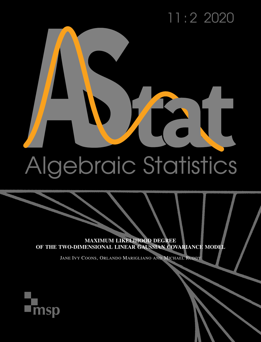## 11:2 2020

# Algebraic Statistics

**MAXIMUM LIKELIHOOD DEGREE** OF THE TWO-DIMENSIONAL LINEAR GAUSSIAN COVARIANCE MODEL

JANE IVY COONS, ORLANDO MARIGLIANO AND MICHAEL RUDDY

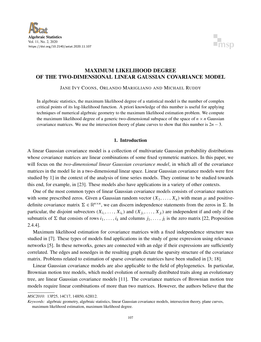



### MAXIMUM LIKELIHOOD DEGREE OF THE TWO-DIMENSIONAL LINEAR GAUSSIAN COVARIANCE MODEL

JANE IVY COONS, ORLANDO MARIGLIANO AND MICHAEL RUDDY

In algebraic statistics, the maximum likelihood degree of a statistical model is the number of complex critical points of its log-likelihood function. A priori knowledge of this number is useful for applying techniques of numerical algebraic geometry to the maximum likelihood estimation problem. We compute the maximum likelihood degree of a generic two-dimensional subspace of the space of  $n \times n$  Gaussian covariance matrices. We use the intersection theory of plane curves to show that this number is  $2n - 3$ .

#### 1. Introduction

A linear Gaussian covariance model is a collection of multivariate Gaussian probability distributions whose covariance matrices are linear combinations of some fixed symmetric matrices. In this paper, we will focus on the *two-dimensional linear Gaussian covariance model*, in which all of the covariance matrices in the model lie in a two-dimensional linear space. Linear Gaussian covariance models were first studied by [1\]](#page-17-0) in the context of the analysis of time series models. They continue to be studied towards this end, for example, in [\[23\]](#page-17-1). These models also have applications in a variety of other contexts.

One of the most common types of linear Gaussian covariance models consists of covariance matrices with some prescribed zeros. Given a Gaussian random vector  $(X_1, \ldots, X_n)$  with mean  $\mu$  and positivedefinite covariance matrix  $\Sigma \in \mathbb{R}^{n \times n}$ , we can discern independence statements from the zeros in  $\Sigma$ . In particular, the disjoint subvectors  $(X_{i_1},...,X_{i_k})$  and  $(X_{j_1},...,X_{j_l})$  are independent if and only if the submatrix of  $\Sigma$  that consists of rows  $i_1, \ldots, i_k$  and columns  $j_1, \ldots, j_l$  is the zero matrix [\[22,](#page-17-2) Proposition 2.4.4].

Maximum likelihood estimation for covariance matrices with a fixed independence structure was studied in [\[7\]](#page-17-3). These types of models find applications in the study of gene expression using relevance networks [\[5\]](#page-17-4). In these networks, genes are connected with an edge if their expressions are sufficiently correlated. The edges and nonedges in the resulting graph dictate the sparsity structure of the covariance matrix. Problems related to estimation of sparse covariance matrices have been studied in [\[3;](#page-17-5) [18\]](#page-17-6).

Linear Gaussian covariance models are also applicable to the field of phylogenetics. In particular, Brownian motion tree models, which model evolution of normally distributed traits along an evolutionary tree, are linear Gaussian covariance models [\[11\]](#page-17-7). The covariance matrices of Brownian motion tree models require linear combinations of more than two matrices. However, the authors believe that the

*MSC2010:* 13P25, 14C17, 14H50, 62H12.

*Keywords:* algebraic geometry, algebraic statistics, linear Gaussian covariance models, intersection theory, plane curves, maximum likelihood estimation, maximum likelihood degree.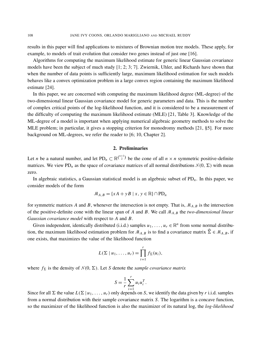results in this paper will find applications to mixtures of Brownian motion tree models. These apply, for example, to models of trait evolution that consider two genes instead of just one [\[16\]](#page-17-8).

Algorithms for computing the maximum likelihood estimate for generic linear Gaussian covariance models have been the subject of much study [\[1;](#page-17-0) [2;](#page-17-9) [3;](#page-17-5) [7\]](#page-17-3). Zwiernik, Uhler, and Richards have shown that when the number of data points is sufficiently large, maximum likelihood estimation for such models behaves like a convex optimization problem in a large convex region containing the maximum likelihood estimate [\[24\]](#page-17-10).

In this paper, we are concerned with computing the maximum likelihood degree (ML-degree) of the two-dimensional linear Gaussian covariance model for generic parameters and data. This is the number of complex critical points of the log-likelihood function, and it is considered to be a measurement of the difficulty of computing the maximum likelihood estimate (MLE) [\[21,](#page-17-11) Table 3]. Knowledge of the ML-degree of a model is important when applying numerical algebraic geometry methods to solve the MLE problem; in particular, it gives a stopping criterion for monodromy methods [\[21,](#page-17-11) §5]. For more background on ML-degrees, we refer the reader to [\[6;](#page-17-12) [10,](#page-17-13) Chapter 2].

#### 2. Preliminaries

<span id="page-3-0"></span>Let *n* be a natural number, and let  $PD_n \subset \mathbb{R}^{\binom{n+1}{2}}$  be the cone of all  $n \times n$  symmetric positive-definite matrices. We view PD<sub>n</sub> as the space of covariance matrices of all normal distributions  $\mathcal{N}(0, \Sigma)$  with mean zero.

In algebraic statistics, a Gaussian statistical model is an algebraic subset of PD*n*. In this paper, we consider models of the form

$$
M_{A,B} = \{ xA + yB \mid x, y \in \mathbb{R} \} \cap \text{PD}_n
$$

for symmetric matrices A and B, whenever the intersection is not empty. That is,  $M_{A,B}$  is the intersection of the positive-definite cone with the linear span of *A* and *B*. We call M*A*,*<sup>B</sup>* the *two-dimensional linear Gaussian covariance model* with respect to *A* and *B*.

Given independent, identically distributed (i.i.d.) samples  $u_1, \ldots, u_r \in \mathbb{R}^n$  from some normal distribution, the maximum likelihood estimation problem for  $M_{A,B}$  is to find a covariance matrix  $\hat{\Sigma} \in M_{A,B}$ , if one exists, that maximizes the value of the likelihood function

$$
L(\Sigma \mid u_1, \ldots, u_r) = \prod_{i=1}^r f_{\Sigma}(u_i),
$$

where  $f_{\Sigma}$  is the density of  $\mathcal{N}(0, \Sigma)$ . Let *S* denote the *sample covariance matrix* 

$$
S = \frac{1}{r} \sum_{i=1}^r u_i u_i^T.
$$

Since for all  $\Sigma$  the value  $L(\Sigma | u_1, \ldots, u_r)$  only depends on *S*, we identify the data given by *r* i.i.d. samples from a normal distribution with their sample covariance matrix *S*. The logarithm is a concave function, so the maximizer of the likelihood function is also the maximizer of its natural log, the *log-likelihood*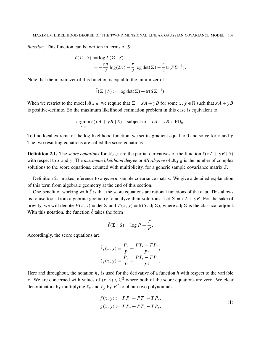*function*. This function can be written in terms of *S*:

$$
\ell(\Sigma \mid S) := \log L(\Sigma \mid S)
$$
  
=  $-\frac{rn}{2} \log(2\pi) - \frac{r}{2} \log \det(\Sigma) - \frac{r}{2} tr(S\Sigma^{-1}).$ 

Note that the maximizer of this function is equal to the minimizer of

$$
\tilde{\ell}(\Sigma \mid S) := \log \det(\Sigma) + \text{tr}(S\Sigma^{-1}).
$$

When we restrict to the model  $M_{A,B}$ , we require that  $\Sigma = xA + yB$  for some  $x, y \in \mathbb{R}$  such that  $xA + yB$ is positive-definite. So the maximum likelihood estimation problem in this case is equivalent to

$$
\underset{x,y}{\text{argmin}} \, \tilde{\ell}(xA + yB \mid S) \quad \text{subject to} \quad xA + yB \in \text{PD}_n.
$$

To find local extrema of the log-likelihood function, we set its gradient equal to 0 and solve for *x* and *y*. The two resulting equations are called the score equations.

<span id="page-4-0"></span>**Definition 2.1.** The *score equations* for  $M_{A,B}$  are the partial derivatives of the function  $\tilde{\ell}(xA + yB | S)$ with respect to *x* and *y*. The *maximum likelihood degree* or *ML-degree* of M*A*,*<sup>B</sup>* is the number of complex solutions to the score equations, counted with multiplicity, for a generic sample covariance matrix *S*.

[Definition 2.1](#page-4-0) makes reference to a *generic* sample covariance matrix. We give a detailed explanation of this term from algebraic geometry at the end of this section.

One benefit of working with  $\tilde{\ell}$  is that the score equations are rational functions of the data. This allows us to use tools from algebraic geometry to analyze their solutions. Let  $\Sigma = xA + yB$ . For the sake of brevity, we will denote  $P(x, y) = \det \Sigma$  and  $T(x, y) = \text{tr}(S \text{ adj } \Sigma)$ , where adj  $\Sigma$  is the classical adjoint. With this notation, the function  $\tilde{\ell}$  takes the form

$$
\tilde{\ell}(\Sigma \mid S) = \log P + \frac{T}{P}.
$$

Accordingly, the score equations are

$$
\tilde{\ell}_x(x, y) = \frac{P_x}{P} + \frac{PT_x - TP_x}{P^2}, \n\tilde{\ell}_y(x, y) = \frac{P_y}{P} + \frac{PT_y - TP_y}{P^2}.
$$

Here and throughout, the notation  $h_x$  is used for the derivative of a function  $h$  with respect to the variable *x*. We are concerned with values of  $(x, y) \in \mathbb{C}^2$  where both of the score equations are zero. We clear denominators by multiplying  $\tilde{\ell}_x$  and  $\tilde{\ell}_y$  by  $P^2$  to obtain two polynomials,

<span id="page-4-1"></span>
$$
f(x, y) := PP_x + PT_x - TP_x,
$$
  
\n
$$
g(x, y) := PP_y + PT_y - TP_y.
$$
\n(1)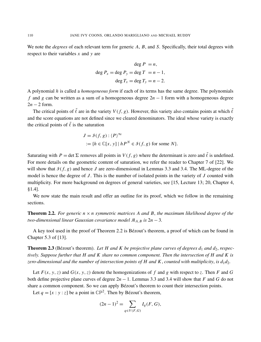We note the *degrees* of each relevant term for generic *A*, *B*, and *S*. Specifically, their total degrees with respect to their variables *x* and *y* are

$$
\deg P = n,
$$
  

$$
\deg P_x = \deg P_y = \deg T = n - 1,
$$
  

$$
\deg T_x = \deg T_y = n - 2.
$$

A polynomial *h* is called a *homogeneous form* if each of its terms has the same degree. The polynomials *f* and *g* can be written as a sum of a homogeneous degree 2*n* − 1 form with a homogeneous degree  $2n - 2$  form.

The critical points of  $\tilde{\ell}$  are in the variety  $V(f, g)$ . However, this variety also contains points at which  $\tilde{\ell}$ and the score equations are not defined since we cleared denominators. The ideal whose variety is exactly the critical points of  $\tilde{\ell}$  is the saturation

$$
J = \mathcal{F}(f, g) : \langle P \rangle^{\infty}
$$
  
 := { $h \in \mathbb{C}[x, y] | h P^N \in \mathcal{F}(f, g)$  for some N}.

Saturating with  $P = \det \Sigma$  removes all points in  $V(f, g)$  where the determinant is zero and  $\tilde{\ell}$  is undefined. For more details on the geometric content of saturation, we refer the reader to Chapter 7 of [\[22\]](#page-17-2). We will show that  $\mathcal{I}(f, g)$  and hence *J* are zero-dimensional in Lemmas [3.3](#page-9-0) and [3.4.](#page-9-1) The ML-degree of the model is hence the degree of *J* . This is the number of isolated points in the variety of *J* counted with multiplicity. For more background on degrees of general varieties, see [\[15,](#page-17-14) Lecture 13; [20,](#page-17-15) Chapter 4, §1.4].

We now state the main result and offer an outline for its proof, which we follow in the remaining sections.

<span id="page-5-0"></span>**Theorem 2.2.** For generic  $n \times n$  symmetric matrices A and B, the maximum likelihood degree of the *two-dimensional linear Gaussian covariance model* M*A*,*<sup>B</sup> is* 2*n* − 3*.*

A key tool used in the proof of [Theorem 2.2](#page-5-0) is Bézout's theorem, a proof of which can be found in Chapter 5.3 of [\[13\]](#page-17-16).

<span id="page-5-1"></span>**Theorem 2.3** (Bézout's theorem). Let H and K be projective plane curves of degrees  $d_1$  and  $d_2$ , respec*tively. Suppose further that H and K share no common component. Then the intersection of H and K is zero-dimensional and the number of intersection points of H and K, counted with multiplicity, is*  $d_1d_2$ *.* 

Let  $F(x, y, z)$  and  $G(x, y, z)$  denote the homogenizations of f and g with respect to z. Then F and G both define projective plane curves of degree 2*n* − 1. Lemmas [3.3](#page-9-0) and [3.4](#page-9-1) will show that *F* and *G* do not share a common component. So we can apply Bézout's theorem to count their intersection points.

Let  $q = [x : y : z]$  be a point in  $\mathbb{CP}^2$ . Then by Bézout's theorem,

$$
(2n-1)^2 = \sum_{q \in V(F,G)} I_q(F,G),
$$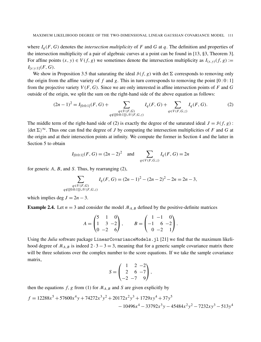where  $I_q(F, G)$  denotes the *intersection multiplicity* of F and G at q. The definition and properties of the intersection multiplicity of a pair of algebraic curves at a point can be found in [\[13,](#page-17-16) §3, Theorem 3]. For affine points  $(x, y) \in V(f, g)$  we sometimes denote the intersection multiplicity as  $I_{(x,y)}(f, g) :=$  $I_{[x:y:1]}(F, G)$ .

We show in [Proposition 3.5](#page-10-0) that saturating the ideal  $\mathcal{I}(f, g)$  with det  $\Sigma$  corresponds to removing only the origin from the affine variety of  $f$  and  $g$ . This in turn corresponds to removing the point  $[0:0:1]$ from the projective variety  $V(F, G)$ . Since we are only interested in affine intersection points of  $F$  and  $G$ outside of the origin, we split the sum on the right-hand side of the above equation as follows:

$$
(2n-1)^2 = I_{[0:0:1]}(F,G) + \sum_{\substack{q \in V(F,G) \\ q \notin \{[0:0:1]\} \cup V(F,G,z)}} I_q(F,G) + \sum_{\substack{q \in V(F,G,z) \\ q \in V(F,G,z)}} I_q(F,G).
$$
 (2)

The middle term of the right-hand side of [\(2\)](#page-6-0) is exactly the degree of the saturated ideal  $J = \mathcal{I}(f, g)$ :  $\det \Sigma$ <sup>∞</sup>. Thus one can find the degree of *J* by computing the intersection multiplicities of *F* and *G* at the origin and at their intersection points at infinity. We compute the former in [Section 4](#page-10-1) and the latter in [Section 5](#page-11-0) to obtain

<span id="page-6-0"></span>
$$
I_{[0:0:1]}(F, G) = (2n - 2)^2
$$
 and  $\sum_{q \in V(F, G, z)} I_q(F, G) = 2n$ 

for generic *A*, *B*, and *S*. Thus, by rearranging [\(2\),](#page-6-0)

$$
\sum_{\substack{q \in V(F,G) \\ q \notin \{ [0:0:1] \} \cup V(F,G,z)}} I_q(F,G) = (2n-1)^2 - (2n-2)^2 - 2n = 2n-3,
$$

<span id="page-6-1"></span>which implies deg  $J = 2n - 3$ .

**Example 2.4.** Let  $n = 3$  and consider the model  $M_{A,B}$  defined by the positive-definite matrices

$$
A = \begin{pmatrix} 5 & 1 & 0 \\ 1 & 3 & -2 \\ 0 & -2 & 6 \end{pmatrix}, \qquad B = \begin{pmatrix} 1 & -1 & 0 \\ -1 & 6 & -2 \\ 0 & -2 & 1 \end{pmatrix}.
$$

Using the *Julia* software package LinearCovarianceModels.jl [\[21\]](#page-17-11) we find that the maximum likelihood degree of  $M_{A,B}$  is indeed  $2 \cdot 3 - 3 = 3$ , meaning that for a generic sample covariance matrix there will be three solutions over the complex number to the score equations. If we take the sample covariance matrix,

$$
S = \begin{pmatrix} 1 & 2 & -2 \\ 2 & 6 & -7 \\ -2 & -7 & 9 \end{pmatrix},
$$

then the equations  $f$ ,  $g$  from [\(1\)](#page-4-1) for  $M_{A,B}$  and  $S$  are given explicitly by

$$
f = 12288x5 + 57600x4y + 74272x3y2 + 20172x2y3 + 1729xy4 + 37y5
$$
  
- 10496x<sup>4</sup> - 33792x<sup>3</sup>y - 45484x<sup>2</sup>y<sup>2</sup> - 7232xy<sup>3</sup> - 513y<sup>4</sup>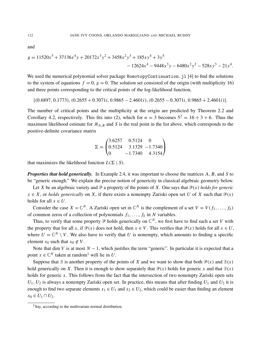and

$$
g = 11520x^5 + 37136x^4y + 20172x^3y^2 + 3458x^2y^3 + 185xy^4 + 3y^5
$$
  
- 12624x<sup>4</sup> - 9448x<sup>3</sup>y - 6480x<sup>2</sup>y<sup>2</sup> - 528xy<sup>3</sup> - 21y<sup>4</sup>.

We used the numerical polynomial solver package HomotopyContinuation.jl [\[4\]](#page-17-17) to find the solutions to the system of equations  $f = 0$ ,  $g = 0$ . The solution set consisted of the origin (with multiplicity 16) and three points corresponding to the critical points of the log-likelihood function,

$$
\{(0.6897, 0.1773), (0.2655 + 0.3071i, 0.9865 - 2.4601i), (0.2655 - 0.3071i, 0.9865 + 2.4601i)\}.
$$

The number of critical points and the multiplicity at the origin are predicted by [Theorem 2.2](#page-5-0) and [Corollary 4.2,](#page-11-1) respectively. This fits into [\(2\),](#page-6-0) which for  $n = 3$  becomes  $5^2 = 16 + 3 + 6$ . Thus the maximum likelihood estimate for M*A*,*<sup>B</sup>* and *S* is the real point in the list above, which corresponds to the positive-definite covariance matrix

$$
\Sigma = \begin{pmatrix} 3.6257 & 0.5124 & 0 \\ 0.5124 & 3.1329 & -1.7340 \\ 0 & -1.7340 & 4.3154 \end{pmatrix}
$$

that maximizes the likelihood function  $L(\Sigma | S)$ .

*Properties that hold generically.* In [Example 2.4,](#page-6-1) it was important to choose the matrices *A*, *B*, and *S* to be "generic enough." We explain the precise notion of genericity in classical algebraic geometry below.

Let *X* be an algebraic variety and  $\mathcal P$  a property of the points of *X*. One says that  $\mathcal P(x)$  *holds for generic*  $x \in X$ , or *holds generically* on *X*, if there exists a nonempty Zariski open set *U* of *X* such that  $\mathcal{P}(x)$ holds for all  $x \in U$ .

Consider the case  $X = \mathbb{C}^N$ . A Zariski open set in  $\mathbb{C}^N$  is the complement of a set  $V = V(f_1, \ldots, f_k)$ of common zeros of a collection of polynomials  $f_1, \ldots, f_k$  in *N* variables.

Thus, to verify that some property  $P$  holds generically on  $C^N$ , we first have to find such a set *V* with the property that for all *x*, if  $\mathcal{P}(x)$  does not hold, then  $x \in V$ . This verifies that  $\mathcal{P}(x)$  holds for all  $x \in U$ , where  $U = \mathbb{C}^N \setminus V$ . We also have to verify that *U* is nonempty, which amounts to finding a specific element  $x_0$  such that  $x_0 \notin V$ .

Note that dim *V* is at most  $N - 1$ , which justifies the term "generic". In particular it is expected that a point  $x \in \mathbb{C}^N$  taken at random<sup>[1](#page-7-0)</sup> will lie in *U*.

Suppose that 2 is another property of the points of *X* and we want to show that both  $\mathcal{P}(x)$  and  $\mathcal{Q}(x)$ hold generically on *X*. Then it is enough to show separately that  $\mathcal{P}(x)$  holds for generic *x* and that  $\mathcal{Q}(x)$ holds for generic *x*. This follows from the fact that the intersection of two nonempty Zariski open sets  $U_1, U_2$  is always a nonempty Zariski open set. In practice, this means that after finding  $U_1$  and  $U_2$  it is enough to find two separate elements  $x_1 \in U_1$  and  $x_2 \in U_2$ , which could be easier than finding an element  $x_0$  ∈  $U_1$  ∩  $U_2$ .

<span id="page-7-0"></span><sup>&</sup>lt;sup>1</sup>Say, according to the multivariate normal distribution.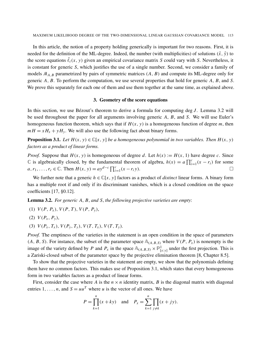In this article, the notion of a property holding generically is important for two reasons. First, it is needed for the definition of the ML-degree. Indeed, the number (with multiplicities) of solutions  $(\hat{x}, \hat{y})$  to the score equations  $\tilde{\ell}_i(x, y)$  given an empirical covariance matrix *S* could vary with *S*. Nevertheless, it is constant for generic *S*, which justifies the use of a single number. Second, we consider a family of models M*A*,*<sup>B</sup>* parametrized by pairs of symmetric matrices (*A*, *B*) and compute its ML-degree only for generic *A*, *B*. To perform the computation, we use several properties that hold for generic *A*, *B*, and *S*. We prove this separately for each one of them and use them together at the same time, as explained above.

#### 3. Geometry of the score equations

In this section, we use Bézout's theorem to derive a formula for computing deg *J* . [Lemma 3.2](#page-8-0) will be used throughout the paper for all arguments involving generic *A*, *B*, and *S*. We will use Euler's homogeneous function theorem, which says that if  $H(x, y)$  is a homogeneous function of degree m, then  $mH = xH_x + yH_y$ . We will also use the following fact about binary forms.

<span id="page-8-1"></span>**Proposition 3.1.** Let  $H(x, y) \in \mathbb{C}[x, y]$  be a homogeneous polynomial in two variables. Then  $H(x, y)$ *factors as a product of linear forms.*

*Proof.* Suppose that  $H(x, y)$  is homogeneous of degree *d*. Let  $h(x) := H(x, 1)$  have degree *c*. Since  $\mathbb{C}$  is algebraically closed, by the fundamental theorem of algebra, *h*(*x*) = *a*  $\prod_{i=1}^{c} (x - r_i)$  for some  $a, r_1, \ldots, r_c \in \mathbb{C}$ . Then  $H(x, y) = ay^{d-c} \prod_{i=1}^{c} (x - r_i y)$ .

We further note that a generic  $h \in \mathbb{C}[x, y]$  factors as a product of *distinct* linear forms. A binary form has a multiple root if and only if its discriminant vanishes, which is a closed condition on the space coefficients [\[17,](#page-17-18) §0.12].

<span id="page-8-0"></span>Lemma 3.2. *For generic A*, *B*, *and S*, *the following projective varieties are empty*:

- (1)  $V(P, P_x), V(P, T), V(P, P_y),$
- $V(P_x, P_y)$ ,
- (3)  $V(P_x, T_x), V(P_y, T_y), V(T, T_x), V(T, T_y).$

*Proof.* The emptiness of the varieties in the statement is an open condition in the space of parameters  $(A, B, S)$ . For instance, the subset of the parameter space  $\mathbb{A}_{(A, B, S)}$  where  $V(P, P_x)$  is nonempty is the image of the variety defined by *P* and  $P_x$  in the space  $\mathbb{A}_{(A,B,S)} \times \mathbb{P}^1_{[x:y]}$  under the first projection. This is a Zariski-closed subset of the parameter space by the projective elimination theorem [\[8,](#page-17-19) Chapter 8.5].

To show that the projective varieties in the statement are empty, we show that the polynomials defining them have no common factors. This makes use of [Proposition 3.1,](#page-8-1) which states that every homogeneous form in two variables factors as a product of linear forms.

First, consider the case where *A* is the  $n \times n$  identity matrix, *B* is the diagonal matrix with diagonal entries  $1, \ldots, n$ , and  $S = uu^T$  where *u* is the vector of all ones. We have

$$
P = \prod_{k=1}^{n} (x + ky)
$$
 and  $P_x = \sum_{k=1}^{n} \prod_{j \neq k} (x + jy).$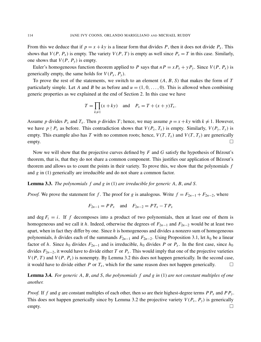From this we deduce that if  $p = x + ky$  is a linear form that divides P, then it does not divide  $P_x$ . This shows that  $V(P, P_x)$  is empty. The variety  $V(P, T)$  is empty as well since  $P_x = T$  in this case. Similarly, one shows that  $V(P, P_v)$  is empty.

Euler's homogeneous function theorem applied to *P* says that  $nP = xP_x + yP_y$ . Since  $V(P, P_x)$  is generically empty, the same holds for  $V(P_x, P_y)$ .

To prove the rest of the statements, we switch to an element (*A*, *B*, *S*) that makes the form of *T* particularly simple. Let *A* and *B* be as before and  $u = (1, 0, \ldots, 0)$ . This is allowed when combining generic properties as we explained at the end of [Section 2.](#page-3-0) In this case we have

$$
T = \prod_{k \neq 1} (x + ky) \quad \text{and} \quad P_x = T + (x + y)T_x.
$$

Assume *p* divides  $P_x$  and  $T_x$ . Then *p* divides *T*; hence, we may assume  $p = x + ky$  with  $k \neq 1$ . However, we have  $p \nmid P_x$  as before. This contradiction shows that  $V(P_x, T_x)$  is empty. Similarly,  $V(P_y, T_y)$  is empty. This example also has *T* with no common roots; hence,  $V(T, T_x)$  and  $V(T, T_y)$  are generically  $\rho$  empty.

Now we will show that the projective curves defined by *F* and *G* satisfy the hypothesis of Bézout's theorem, that is, that they do not share a common component. This justifies our application of Bézout's theorem and allows us to count the points in their variety. To prove this, we show that the polynomials *f* and *g* in [\(1\)](#page-4-1) generically are irreducible and do not share a common factor.

<span id="page-9-0"></span>Lemma 3.3. *The polynomials f and g in* [\(1\)](#page-4-1) *are irreducible for generic A*, *B*, *and S.*

*Proof.* We prove the statement for *f*. The proof for *g* is analogous. Write  $f = F_{2n-1} + F_{2n-2}$ , where

$$
F_{2n-1} = PP_x
$$
 and  $F_{2n-2} = PT_x - TP_x$ 

and deg  $F_i = i$ . If f decomposes into a product of two polynomials, then at least one of them is homogeneous and we call it *h*. Indeed, otherwise the degrees of  $F_{2n-1}$  and  $F_{2n-2}$  would be at least two apart, when in fact they differ by one. Since *h* is homogeneous and divides a nonzero sum of homogeneous polynomials, *h* divides each of the summands  $F_{2n-1}$  and  $F_{2n-2}$ . Using [Proposition 3.1,](#page-8-1) let  $h_0$  be a linear factor of *h*. Since *h*<sub>0</sub> divides  $F_{2n-1}$  and is irreducible, *h*<sub>0</sub> divides *P* or  $P_x$ . In the first case, since *h*<sub>0</sub> divides  $F_{2n-2}$ , it would have to divide either *T* or  $P_x$ . This would imply that one of the projective varieties  $V(P, T)$  and  $V(P, P_x)$  is nonempty. By [Lemma 3.2](#page-8-0) this does not happen generically. In the second case, it would have to divide either *P* or  $T_x$ , which for the same reason does not happen generically.

<span id="page-9-1"></span>Lemma 3.4. *For generic A*, *B*, *and S*, *the polynomials f and g in* [\(1\)](#page-4-1) *are not constant multiples of one another.*

*Proof.* If f and g are constant multiples of each other, then so are their highest-degree terms  $PP_x$  and  $PP_y$ . This does not happen generically since by [Lemma 3.2](#page-8-0) the projective variety  $V(P_x, P_y)$  is generically  $\rho$  empty.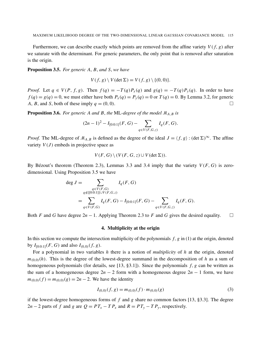Furthermore, we can describe exactly which points are removed from the affine variety  $V(f, g)$  after we saturate with the determinant. For generic parameters, the only point that is removed after saturation is the origin.

<span id="page-10-0"></span>Proposition 3.5. *For generic A*, *B*, *and S*, *we have*

$$
V(f, g) \setminus V(\det \Sigma) = V(f, g) \setminus \{(0, 0)\}.
$$

*Proof.* Let  $q \in V(P, f, g)$ . Then  $f(q) = -T(q)P_x(q)$  and  $g(q) = -T(q)P_y(q)$ . In order to have  $f(q) = g(q) = 0$ , we must either have both  $P_x(q) = P_y(q) = 0$  or  $T(q) = 0$ . By [Lemma 3.2,](#page-8-0) for generic *A*, *B*, and *S*, both of these imply  $q = (0, 0)$ .

<span id="page-10-4"></span>Proposition 3.6. *For generic A and B*, *the* ML*-degree of the model* M*A*,*<sup>B</sup> is*

$$
(2n-1)^{2} - I_{[0:0:1]}(F, G) - \sum_{q \in V(F, G, z)} I_{q}(F, G).
$$

*Proof.* The ML-degree of  $M_{A,B}$  is defined as the degree of the ideal  $J = \langle f, g \rangle$ : (det  $\Sigma^{\infty}$ . The affine variety  $V(J)$  embeds in projective space as

$$
V(F, G) \setminus (V(F, G, z) \cup V(\det \Sigma)).
$$

By Bézout's theorem [\(Theorem 2.3\)](#page-5-1), Lemmas [3.3](#page-9-0) and [3.4](#page-9-1) imply that the variety *V*(*F*, *G*) is zerodimensional. Using [Proposition 3.5](#page-10-0) we have

$$
\deg J = \sum_{\substack{q \in V(F,G) \\ q \notin \{ [0:0:1] \} \cup V(F,G,z)}} I_q(F,G)
$$
  
= 
$$
\sum_{q \in V(F,G)} I_q(F,G) - I_{[0:0:1]}(F,G) - \sum_{q \in V(F,G,z)} I_q(F,G).
$$

<span id="page-10-1"></span>Both *F* and *G* have degree  $2n - 1$ . Applying [Theorem 2.3](#page-5-1) to *F* and *G* gives the desired equality.  $\square$ 

#### 4. Multiplicity at the origin

In this section we compute the intersection multiplicity of the polynomials *f*, *g* in [\(1\)](#page-4-1) at the origin, denoted by  $I_{[0:0:1]}(F, G)$  and also  $I_{(0,0)}(f, g)$ .

For a polynomial in two variables *h* there is a notion of *multiplicity* of *h* at the origin, denoted  $m_{(0,0)}(h)$ . This is the degree of the lowest-degree summand in the decomposition of *h* as a sum of homogeneous polynomials (for details, see [\[13,](#page-17-16) §3.1]). Since the polynomials *f*, *g* can be written as the sum of a homogeneous degree  $2n - 2$  form with a homogeneous degree  $2n - 1$  form, we have  $m_{(0,0)}(f) = m_{(0,0)}(g) = 2n - 2$ . We have the identity

<span id="page-10-3"></span>
$$
I_{(0,0)}(f,g) = m_{(0,0)}(f) \cdot m_{(0,0)}(g)
$$
\n(3)

<span id="page-10-2"></span>if the lowest-degree homogeneous forms of *f* and *g* share no common factors [\[13,](#page-17-16) §3.3]. The degree 2*n* − 2 parts of *f* and *g* are  $Q = PT_x - TP_x$  and  $R = PT_y - TP_y$ , respectively.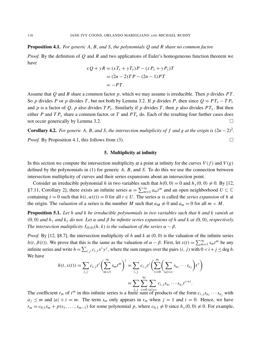#### Proposition 4.1. *For generic A*, *B*, *and S*, *the polynomials Q and R share no common factor.*

*Proof.* By the definition of Q and R and two applications of Euler's homogeneous function theorem we have

$$
xQ + yR = (xT_x + yT_y)P - (xP_x + yP_y)T
$$

$$
= (2n - 2)TP - (2n - 1)PT
$$

$$
= -PT.
$$

Assume that *Q* and *R* share a common factor *p*, which we may assume is irreducible. Then *p* divides *PT* . So *p* divides *P* or *p* divides *T*, but not both by [Lemma 3.2.](#page-8-0) If *p* divides *P*, then since  $Q = PT_x - TP_x$ and *p* is a factor of *Q*, *p* also divides  $TP_x$ . Similarly if *p* divides *T*, then *p* also divides  $PT_x$ . But then either *P* and  $TP_x$  share a common factor, or *T* and  $PT_x$  do. Each of the resulting four further cases does not occur generically by [Lemma 3.2.](#page-8-0)

<span id="page-11-1"></span>**Corollary 4.2.** For generic A, B, and S, the intersection multiplicity of f and g at the origin is  $(2n-2)^2$ .

<span id="page-11-0"></span>*Proof.* By [Proposition 4.1,](#page-10-2) this follows from [\(3\).](#page-10-3)  $\Box$ 

#### 5. Multiplicity at infinity

In this section we compute the intersection multiplicity at a point at infinity for the curves  $V(f)$  and  $V(g)$ defined by the polynomials in [\(1\)](#page-4-1) for generic *A*, *B*, and *S*. To do this we use the connection between intersection multiplicity of curves and their series expansions about an intersection point.

Consider an irreducible polynomial *h* in two variables such that  $h(0, 0) = 0$  and  $h_y(0, 0) \neq 0$ . By [\[12,](#page-17-20) §7.11, Corollary 2], there exists an infinite series  $\alpha = \sum_{m=1}^{\infty} a_m t^m$  and an open neighborhood  $U \subset \mathbb{C}$ containing  $t = 0$  such that  $h(t, \alpha(t)) = 0$  for all  $t \in U$ . The series  $\alpha$  is called the *series expansion* of *h* at the origin. The *valuation* of a series is the number *M* such that  $a_M \neq 0$  and  $a_m = 0$  for all  $m < M$ .

<span id="page-11-2"></span>Proposition 5.1. *Let h and k be irreducible polynomials in two variables such that h and k vanish at* (0, 0) *and h<sup>y</sup> and k<sup>y</sup> do not. Let* α *and* β *be infinite series expansions of h and k at* (0, 0), *respectively. The intersection multiplicity*  $I_{(0,0)}(h, k)$  *is the valuation of the series*  $\alpha - \beta$ *.* 

*Proof.* By [\[12,](#page-17-20) §8.7], the intersection multiplicity of *h* and *k* at (0, 0) is the valuation of the infinite series *h*(*t*,  $\beta$ (*t*)). We prove that this is the same as the valuation of  $\alpha - \beta$ . First, let  $s(t) = \sum_{m=1}^{\infty} s_m t^m$  be any infinite series and write  $h = \sum_{i,j} c_{i,j} x^i y^j$ , where the sum ranges over the pairs  $(i, j)$  with  $0 < i + j \le \deg h$ . We have

$$
h(t, s(t)) = \sum_{i,j} c_{i,j} t^i \left( \sum_{m=1}^{\infty} s_m t^m \right)^j = \sum_{i,j} c_{i,j} t^i \left( \sum_{\nu=0}^{\infty} \left( \sum_{|a|=v} s_{a_1} \cdots s_{a_j} \right) t^{\nu} \right)
$$
  
= 
$$
\sum_{i,j} \sum_{\nu=0}^{\infty} \sum_{|a|=v} c_{i,j} s_{a_1} \cdots s_{a_j} t^{\nu+i}.
$$

The coefficient  $r_m$  of  $t^m$  in this infinite series is a finite sum of products of the form  $c_{i,j} s_{a_1} \cdots s_{a_j}$  with  $a_j \leq m$  and  $|a| + i = m$ . The term  $s_m$  only appears in  $r_m$  when  $j = 1$  and  $i = 0$ . Hence, we have  $r_m = c_{0,1} s_m + p(s_1, \ldots, s_{m-1})$  for some polynomial *p*, where  $c_{0,1} \neq 0$  since  $h_y(0, 0) \neq 0$ . For example,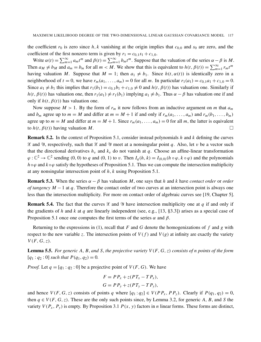the coefficient  $r_0$  is zero since  $h, k$  vanishing at the origin implies that  $c_{0,0}$  and  $s_0$  are zero, and the coefficient of the first nonzero term is given by  $r_1 = c_{0,1} s_1 + c_{1,0}$ .

Write  $\alpha(t) = \sum_{m=1}^{\infty} a_m t^m$  and  $\beta(t) = \sum_{m=1}^{\infty} b_m t^m$ . Suppose that the valuation of the series  $\alpha - \beta$  is *M*. Then  $a_M \neq b_M$  and  $a_m = b_m$  for all  $m < M$ . We show that this is equivalent to  $h(t, \beta(t)) = \sum_{m=1}^{\infty} r_m t^m$ having valuation *M*. Suppose that  $M = 1$ ; then  $a_1 \neq b_1$ . Since  $h(t, \alpha(t))$  is identically zero in a neighborhood of  $t = 0$ , we have  $r_m(a_1, \ldots, a_m) = 0$  for all *m*. In particular  $r_1(a_1) = c_{0,1}a_1 + c_{1,0} = 0$ . Since  $a_1 \neq b_1$  this implies that  $r_1(b_1) = c_{0,1}b_1 + c_{1,0} \neq 0$  and  $h(t, \beta(t))$  has valuation one. Similarly if  $h(t, \beta(t))$  has valuation one, then  $r_1(a_1) \neq r_1(b_1)$  implying  $a_1 \neq b_1$ . Thus  $\alpha - \beta$  has valuation one if and only if  $h(t, \beta(t))$  has valuation one.

Now suppose  $M > 1$ . By the form of  $r_m$  it now follows from an inductive argument on *m* that  $a_m$ and  $b_m$  agree up to  $m = M$  and differ at  $m = M + 1$  if and only if  $r_m(a_1, \ldots, a_m)$  and  $r_m(b_1, \ldots, b_m)$ agree up to  $m = M$  and differ at  $m = M + 1$ . Since  $r_m(a_1, \ldots, a_m) = 0$  for all m, the latter is equivalent to  $h(t, \beta(t))$  having valuation *M*.

Remark 5.2. In the context of [Proposition 5.1,](#page-11-2) consider instead polynomials *h* and *k* defining the curves  $\mathcal X$  and  $\mathcal Y$ , respectively, such that  $\mathcal X$  and  $\mathcal Y$  meet at a nonsingular point q. Also, let v be a vector such that the directional derivatives  $h<sub>v</sub>$  and  $k<sub>v</sub>$  do not vanish at *q*. Choose an affine-linear transformation  $\varphi : \mathbb{C}^2 \to \mathbb{C}^2$  sending (0, 0) to *q* and (0, 1) to *v*. Then  $I_q(h, k) = I_{(0,0)}(h \circ \varphi, k \circ \varphi)$  and the polynomials  $h \circ \varphi$  and  $k \circ \varphi$  satisfy the hypotheses of [Proposition 5.1.](#page-11-2) Thus we can compute the intersection multiplicity at any nonsingular intersection point of *h*, *k* using [Proposition 5.1.](#page-11-2)

**Remark 5.3.** When the series  $\alpha - \beta$  has valuation *M*, one says that *h* and *k* have *contact order* or *order of tangency M* − 1 at *q*. Therefore the contact order of two curves at an intersection point is always one less than the intersection multiplicity. For more on contact order of algebraic curves see [\[19,](#page-17-21) Chapter 5].

**Remark 5.4.** The fact that the curves  $\mathcal X$  and  $\mathcal Y$  have intersection multiplicity one at *q* if and only if the gradients of *h* and *k* at *q* are linearly independent (see, e.g., [\[13,](#page-17-16) §3.3]) arises as a special case of [Proposition 5.1](#page-11-2) once one computes the first terms of the series  $\alpha$  and  $\beta$ .

Returning to the expressions in [\(1\),](#page-4-1) recall that *F* and *G* denote the homogenizations of *f* and *g* with respect to the new variable *z*. The intersection points of  $V(f)$  and  $V(g)$  at infinity are exactly the variety  $V(F, G, z)$ .

<span id="page-12-0"></span>Lemma 5.5. *For generic A*, *B*, *and S*, *the projective variety V*(*F*, *G*,*z*) *consists of n points of the form*  $[q_1 : q_2 : 0]$  *such that*  $P(q_1, q_2) = 0$ *.* 

*Proof.* Let  $q = [q_1 : q_2 : 0]$  be a projective point of  $V(F, G)$ . We have

$$
F = PPx + z(PTx - TPx),
$$
  
\n
$$
G = PPy + z(PTy - TPy),
$$

and hence  $V(F, G, z)$  consists of points *q* where  $[q_1 : q_2] \in V(PP_x, PP_y)$ . Clearly if  $P(q_1, q_2) = 0$ , then  $q \in V(F, G, z)$ . These are the only such points since, by [Lemma 3.2,](#page-8-0) for generic *A*, *B*, and *S* the variety  $V(P_x, P_y)$  is empty. By [Proposition 3.1](#page-8-1)  $P(x, y)$  factors in *n* linear forms. These forms are distinct,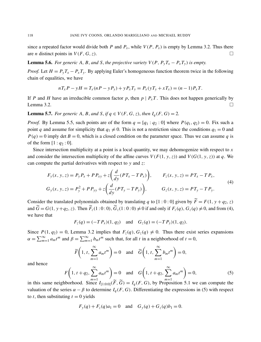since a repeated factor would divide both *P* and  $P_x$ , while  $V(P, P_x)$  is empty by [Lemma 3.2.](#page-8-0) Thus there are *n* distinct points in  $V(F, G, z)$ .

<span id="page-13-2"></span>**Lemma 5.6.** *For generic A, B, and S, the projective variety*  $V(P, P_yT_x - P_xT_y)$  *is empty.* 

*Proof.* Let  $H = P_yT_x - P_xT_y$ . By applying Euler's homogeneous function theorem twice in the following chain of equalities, we have

$$
nT_x P - yH = T_x (nP - yP_y) + yP_x T_y = P_x (yT_y + xT_x) = (n-1)P_x T.
$$

If *P* and *H* have an irreducible common factor *p*, then  $p \mid P_xT$ . This does not happen generically by [Lemma 3.2.](#page-8-0)

<span id="page-13-3"></span>**Lemma 5.7.** *For generic A, B, and S, if*  $q \in V(F, G, z)$ *, then*  $I_q(F, G) = 2$ *.* 

*Proof.* By [Lemma 5.5,](#page-12-0) such points are of the form  $q = [q_1 : q_2 : 0]$  where  $P(q_1, q_2) = 0$ . Fix such a point *q* and assume for simplicity that  $q_1 \neq 0$ . This is not a restriction since the conditions  $q_1 = 0$  and  $P(q) = 0$  imply det  $B = 0$ , which is a closed condition on the parameter space. Thus we can assume *q* is of the form  $[1 : q_2 : 0]$ .

Since intersection multiplicity at a point is a local quantity, we may dehomogenize with respect to *x* and consider the intersection multiplicity of the affine curves  $V(F(1, y, z))$  and  $V(G(1, y, z))$  at *q*. We can compute the partial derivatives with respect to *y* and *z*:

$$
F_y(x, y, z) = P_y P_x + P P_{xy} + z \left( \frac{d}{dy} (PT_x - TP_x) \right), \qquad F_z(x, y, z) = PT_x - TP_x,
$$
  
\n
$$
G_y(x, y, z) = P_y^2 + P P_{yy} + z \left( \frac{d}{dy} (PT_y - TP_y) \right), \qquad G_z(x, y, z) = PT_y - TP_y.
$$
\n(4)

Consider the translated polynomials obtained by translating *q* to [1 : 0 : 0] given by  $\widetilde{F} = F(1, y + q_2, z)$ and  $\widetilde{G} = G(1, y+q_2, z)$ . Then  $\widetilde{F}_z(1:0:0)$ ,  $\widetilde{G}_z(1:0:0) \neq 0$  if and only if  $F_z(q)$ ,  $G_z(q) \neq 0$ , and from [\(4\),](#page-13-0) we have that

<span id="page-13-0"></span>
$$
F_z(q) = (-TP_x)(1, q_2)
$$
 and  $G_z(q) = (-TP_y)(1, q_2)$ .

Since  $P(1, q_2) = 0$ , [Lemma 3.2](#page-8-0) implies that  $F_z(q), G_z(q) \neq 0$ . Thus there exist series expansions  $\alpha = \sum_{m=1}^{\infty} a_m t^m$  and  $\beta = \sum_{m=1}^{\infty} b_m t^m$  such that, for all *t* in a neighborhood of  $t = 0$ ,

$$
\widetilde{F}\left(1, t, \sum_{m=1}^{\infty} a_m t^m\right) = 0 \text{ and } \widetilde{G}\left(1, t, \sum_{m=1}^{\infty} b_m t^m\right) = 0,
$$
  

$$
1, t + q_2, \sum_{m=1}^{\infty} a_m t^m = 0 \text{ and } G\left(1, t + q_2, \sum_{m=1}^{\infty} a_m t^m\right) = 0,
$$
 (5)

<span id="page-13-1"></span>and hence

$$
F\left(1, t+q_2, \sum_{m=1}^{\infty} a_m t^m\right) = 0 \text{ and } G\left(1, t+q_2, \sum_{m=1}^{\infty} a_m t^m\right) = 0,
$$
 (5)  
in this same neighborhood. Since  $I_{[1:0:0]}(\widetilde{F}, \widetilde{G}) = I_q(F, G)$ , by Proposition 5.1 we can compute the

valuation of the series  $\alpha - \beta$  to determine  $I_q(F, G)$ . Differentiating the expressions in [\(5\)](#page-13-1) with respect to *t*, then substituting  $t = 0$  yields

$$
F_y(q) + F_z(q)a_1 = 0
$$
 and  $G_y(q) + G_z(q)b_1 = 0$ .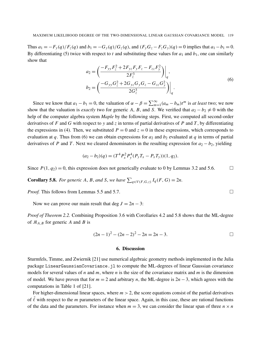<span id="page-14-0"></span>Thus  $a_1 = -F_y(q)/F_z(q)$  and  $b_1 = -G_y(q)/G_z(q)$ , and  $(F_yG_z - F_zG_y)(q) = 0$  implies that  $a_1 - b_1 = 0$ . By differentiating [\(5\)](#page-13-1) twice with respect to  $t$  and substituting these values for  $a_1$  and  $b_1$ , one can similarly show that

$$
a_2 = \left(\frac{-F_{yy}F_z^2 + 2F_{yz}F_yF_z - F_{zz}F_y^2}{2F_z^3}\right)\Big|_q,
$$
  
\n
$$
b_2 = \left(\frac{-G_{yy}G_z^2 + 2G_{yz}G_yG_z - G_{zz}G_y^2}{2G_z^3}\right)\Big|_q.
$$
\n(6)

Since we know that  $a_1 - b_1 = 0$ , the valuation of  $\alpha - \beta = \sum_{m=1}^{\infty} (a_m - b_m)t^m$  is *at least* two; we now show that the valuation is *exactly* two for generic *A*, *B*, and *S*. We verified that  $a_2 - b_2 \neq 0$  with the help of the computer algebra system *Maple* by the following steps. First, we computed all second-order derivatives of *F* and *G* with respect to *y* and *z* in terms of partial derivatives of *P* and *T* , by differentiating the expressions in [\(4\).](#page-13-0) Then, we substituted  $P = 0$  and  $z = 0$  in these expressions, which corresponds to evaluation at  $q$ . Thus from [\(6\)](#page-14-0) we can obtain expressions for  $a_2$  and  $b_2$  evaluated at  $q$  in terms of partial derivatives of *P* and *T*. Next we cleared denominators in the resulting expression for  $a_2 - b_2$ , yielding

$$
(a_2 - b_2)(q) = (T^4 P_x^2 P_y^4 (P_y T_x - P_x T_y))(1, q_2).
$$

Since  $P(1, q_2) = 0$ , this expression does not generically evaluate to 0 by Lemmas [3.2](#page-8-0) and [5.6.](#page-13-2)

<span id="page-14-1"></span>**Corollary 5.8.** For generic A, B, and S, we have  $\sum_{q \in V(F,G,z)} I_q(F,G) = 2n$ .

*Proof.* This follows from Lemmas [5.5](#page-12-0) and [5.7.](#page-13-3) □

Now we can prove our main result that deg  $J = 2n - 3$ :

*Proof of [Theorem 2.2.](#page-5-0)* Combining [Proposition 3.6](#page-10-4) with Corollaries [4.2](#page-11-1) and [5.8](#page-14-1) shows that the ML-degree of M*A*,*<sup>B</sup>* for generic *A* and *B* is

$$
(2n-1)^2 - (2n-2)^2 - 2n = 2n-3.
$$

#### 6. Discussion

Sturmfels, Timme, and Zwiernik [\[21\]](#page-17-11) use numerical algebraic geometry methods implemented in the Julia package LinearGaussianCovariance. jl to compute the ML-degrees of linear Gaussian covariance models for several values of *n* and *m*, where *n* is the size of the covariance matrix and *m* is the dimension of model. We have proven that for  $m = 2$  and arbitrary *n*, the ML-degree is  $2n - 3$ , which agrees with the computations in Table 1 of [\[21\]](#page-17-11).

For higher-dimensional linear spaces, where  $m > 2$ , the score equations consist of the partial derivatives of  $\ell$  with respect to the *m* parameters of the linear space. Again, in this case, these are rational functions of the data and the parameters. For instance when  $m = 3$ , we can consider the linear span of three  $n \times n$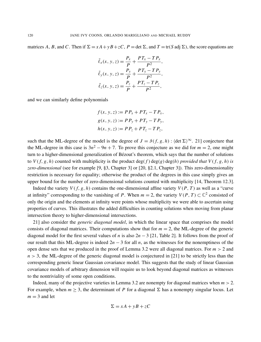matrices *A*, *B*, and *C*. Then if  $\Sigma = xA + yB + zC$ ,  $P = \det \Sigma$ , and  $T = \text{tr}(S \text{ adj } \Sigma)$ , the score equations are

$$
\tilde{\ell}_x(x, y, z) = \frac{P_x}{P} + \frac{PT_x - TP_x}{P^2}, \n\tilde{\ell}_y(x, y, z) = \frac{P_y}{P} + \frac{PT_y - TP_y}{P^2}, \n\tilde{\ell}_z(x, y, z) = \frac{P_z}{P} + \frac{PT_z - TP_z}{P^2},
$$

and we can similarly define polynomials

$$
f(x, y, z) := PP_x + PT_x - TP_x,
$$
  
\n
$$
g(x, y, z) := PP_y + PT_y - TP_y,
$$
  
\n
$$
h(x, y, z) := PP_z + PT_z - TP_z,
$$

such that the ML-degree of the model is the degree of  $J = \mathcal{I}(f, g, h)$ :  $\det \Sigma^{\infty}$ . [21\]](#page-17-11) conjecture that the ML-degree in this case is  $3n^2 - 9n + 7$ . To prove this conjecture as we did for  $m = 2$ , one might turn to a higher-dimensional generalization of Bézout's theorem, which says that the number of solutions to  $V(f, g, h)$  counted with multiplicity is the product deg( $f$ ) deg( $g$ ) deg( $h$ ) *provided that*  $V(f, g, h)$  *is zero-dimensional* (see for example [\[9,](#page-17-22) §3, Chapter 3] or [\[20,](#page-17-15) §2.1, Chapter 3]). This zero-dimensionality restriction is necessary for equality; otherwise the product of the degrees in this case simply gives an upper bound for the number of zero-dimensional solutions counted with multiplicity [\[14,](#page-17-23) Theorem 12.3].

Indeed the variety  $V(f, g, h)$  contains the one-dimensional affine variety  $V(P, T)$  as well as a "curve" at infinity" corresponding to the vanishing of *P*. When  $m = 2$ , the variety  $V(P, T) \subset \mathbb{C}^2$  consisted of only the origin and the elements at infinity were points whose multiplicity we were able to ascertain using properties of curves. This illustrates the added difficulties in counting solutions when moving from planar intersection theory to higher-dimensional intersections.

[21\]](#page-17-11) also consider the *generic diagonal model*, in which the linear space that comprises the model consists of diagonal matrices. Their computations show that for  $m = 2$ , the ML-degree of the generic diagonal model for the first several values of *n* is also  $2n - 3$  [\[21,](#page-17-11) Table 2]. It follows from the proof of our result that this ML-degree is indeed  $2n - 3$  for all *n*, as the witnesses for the nonemptiness of the open dense sets that we produced in the proof of [Lemma 3.2](#page-8-0) were all diagonal matrices. For  $m > 2$  and  $n > 3$ , the ML-degree of the generic diagonal model is conjectured in [\[21\]](#page-17-11) to be strictly less than the corresponding generic linear Gaussian covariance model. This suggests that the study of linear Gaussian covariance models of arbitrary dimension will require us to look beyond diagonal matrices as witnesses to the nontriviality of some open conditions.

Indeed, many of the projective varieties in [Lemma 3.2](#page-8-0) are nonempty for diagonal matrices when *m* > 2. For example, when  $m \geq 3$ , the determinant of P for a diagonal  $\Sigma$  has a nonempty singular locus. Let  $m = 3$  and let

$$
\Sigma = xA + yB + zC
$$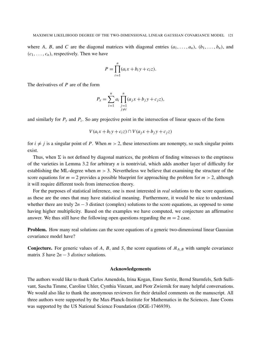where *A*, *B*, and *C* are the diagonal matrices with diagonal entries  $(a_1, \ldots, a_n)$ ,  $(b_1, \ldots, b_n)$ , and  $(c_1, \ldots, c_n)$ , respectively. Then we have

$$
P = \prod_{i=1}^{n} (a_i x + b_i y + c_i z).
$$

The derivatives of *P* are of the form

$$
P_x = \sum_{i=1}^n a_i \prod_{\substack{j=1 \ j \neq i}}^n (a_j x + b_j y + c_j z),
$$

and similarly for *P<sup>y</sup>* and *P<sup>z</sup>* . So any projective point in the intersection of linear spaces of the form

$$
V(a_ix + b_iy + c_iz) \cap V(a_jx + b_jy + c_jz)
$$

for  $i \neq j$  is a singular point of *P*. When  $m > 2$ , these intersections are nonempty, so such singular points exist.

Thus, when  $\Sigma$  is not defined by diagonal matrices, the problem of finding witnesses to the emptiness of the varieties in [Lemma 3.2](#page-8-0) for arbitrary *n* is nontrivial, which adds another layer of difficulty for establishing the ML-degree when  $m > 3$ . Nevertheless we believe that examining the structure of the score equations for  $m = 2$  provides a possible blueprint for approaching the problem for  $m > 2$ , although it will require different tools from intersection theory.

For the purposes of statistical inference, one is most interested in *real* solutions to the score equations, as these are the ones that may have statistical meaning. Furthermore, it would be nice to understand whether there are truly 2*n* − 3 distinct (complex) solutions to the score equations, as opposed to some having higher multiplicity. Based on the examples we have computed, we conjecture an affirmative answer. We thus still have the following open questions regarding the  $m = 2$  case.

**Problem.** How many real solutions can the score equations of a generic two-dimensional linear Gaussian covariance model have?

**Conjecture.** For generic values of A, B, and S, the score equations of  $M_{A,B}$  with sample covariance matrix *S* have 2*n* − 3 *distinct* solutions.

#### Acknowledgements

The authors would like to thank Carlos Amendola, Irina Kogan, Emre Sertöz, Bernd Sturmfels, Seth Sullivant, Sascha Timme, Caroline Uhler, Cynthia Vinzant, and Piotr Zwiernik for many helpful conversations. We would also like to thank the anonymous reviewers for their detailed comments on the manuscript. All three authors were supported by the Max-Planck-Institute for Mathematics in the Sciences. Jane Coons was supported by the US National Science Foundation (DGE-1746939).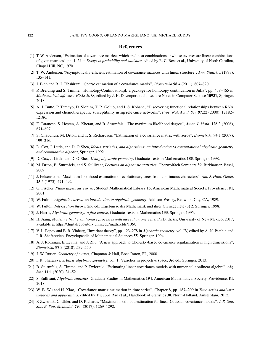#### **References**

- <span id="page-17-0"></span>[1] T. W. Anderson, "Estimation of covariance matrices which are linear combinations or whose inverses are linear combinations of given matrices", pp. 1–24 in *Essays in probability and statistics*, edited by R. C. Bose et al., University of North Carolina, Chapel Hill, NC, 1970.
- <span id="page-17-9"></span>[2] T. W. Anderson, ["Asymptotically efficient estimation of covariance matrices with linear structure",](http://dx.doi.org/10.1214/aos/1193342389) *Ann. Statist.* 1 (1973), 135–141.
- <span id="page-17-5"></span>[3] J. Bien and R. J. Tibshirani, ["Sparse estimation of a covariance matrix",](http://dx.doi.org/10.1093/biomet/asr054) *Biometrika* 98:4 (2011), 807–820.
- <span id="page-17-17"></span>[4] P. Breiding and S. Timme, ["HomotopyContinuation.jl: a package for homotopy continuation in Julia",](http://dx.doi.org/10.1007/978-3-319-96418-8_54) pp. 458–465 in *Mathematical software: ICMS 2018*, edited by J. H. Davenport et al., Lecture Notes in Computer Science 10931, Springer, 2018.
- <span id="page-17-4"></span>[5] A. J. Butte, P. Tamayo, D. Slonim, T. R. Golub, and I. S. Kohane, ["Discovering functional relationships between RNA](http://dx.doi.org/10.1073/pnas.220392197) [expression and chemotherapeutic susceptibility using relevance networks",](http://dx.doi.org/10.1073/pnas.220392197) *Proc. Nat. Acad. Sci.* 97:22 (2000), 12182– 12186.
- <span id="page-17-12"></span>[6] F. Catanese, S. Hoşten, A. Khetan, and B. Sturmfels, ["The maximum likelihood degree",](http://dx.doi.org/10.1353/ajm.2006.0019) *Amer. J. Math.* 128:3 (2006), 671–697.
- <span id="page-17-3"></span>[7] S. Chaudhuri, M. Drton, and T. S. Richardson, ["Estimation of a covariance matrix with zeros",](http://dx.doi.org/10.1093/biomet/asm007) *Biometrika* 94:1 (2007), 199–216.
- <span id="page-17-19"></span>[8] D. Cox, J. Little, and D. O'Shea, *[Ideals, varieties, and algorithms: an introduction to computational algebraic geometry](http://dx.doi.org/10.1007/978-1-4757-2181-2) [and commutative algebra](http://dx.doi.org/10.1007/978-1-4757-2181-2)*, Springer, 1992.
- <span id="page-17-22"></span>[9] D. Cox, J. Little, and D. O'Shea, *[Using algebraic geometry](http://dx.doi.org/10.1007/978-1-4757-6911-1)*, Graduate Texts in Mathematics 185, Springer, 1998.
- <span id="page-17-13"></span>[10] M. Drton, B. Sturmfels, and S. Sullivant, *[Lectures on algebraic statistics](http://dx.doi.org/10.1007/978-3-7643-8905-5)*, Oberwolfach Seminars 39, Birkhäuser, Basel, 2009.
- <span id="page-17-7"></span>[11] J. Felsenstein, ["Maximum-likelihood estimation of evolutionary trees from continuous characters",](https://www.ncbi.nlm.nih.gov/pmc/articles/PMC1762641/) *Am. J. Hum. Genet.* 25:5 (1973), 471–492.
- <span id="page-17-20"></span>[12] G. Fischer, *[Plane algebraic curves](http://dx.doi.org/10.1090/stml/015)*, Student Mathematical Library 15, American Mathematical Society, Providence, RI, 2001.
- <span id="page-17-16"></span>[13] W. Fulton, *Algebraic curves: an introduction to algebraic geometry*, Addison-Wesley, Redwood City, CA, 1989.
- <span id="page-17-23"></span>[14] W. Fulton, *[Intersection theory](http://dx.doi.org/10.1007/978-1-4612-1700-8)*, 2nd ed., Ergebnisse der Mathematik und ihrer Grenzgebiete (3) 2, Springer, 1998.
- <span id="page-17-14"></span>[15] J. Harris, *[Algebraic geometry: a first course](http://dx.doi.org/10.1007/978-1-4757-2189-8)*, Graduate Texts in Mathematics 133, Springer, 1995.
- <span id="page-17-8"></span>[16] H. Jiang, *[Modeling trait evolutionary processes with more than one gene](https://digitalrepository.unm.edu/math_etds/106/)*, Ph.D. thesis, University of New Mexico, 2017, available at https://digitalrepository.unm.edu/math\_etds/106/.
- <span id="page-17-18"></span>[17] V. L. Popov and E. B. Vinberg, ["Invariant theory",](http://dx.doi.org/10.1007/978-3-662-03073-8_2) pp. 123–278 in *Algebraic geometry*, vol. IV, edited by A. N. Parshin and I. R. Shafarevich, Encyclopaedia of Mathematical Sciences 55, Springer, 1994.
- <span id="page-17-6"></span>[18] A. J. Rothman, E. Levina, and J. Zhu, ["A new approach to Cholesky-based covariance regularization in high dimensions",](http://dx.doi.org/10.1093/biomet/asq022) *Biometrika* 97:3 (2010), 539–550.
- <span id="page-17-21"></span>[19] J. W. Rutter, *Geometry of curves*, Chapman & Hall, Boca Raton, FL, 2000.
- <span id="page-17-15"></span>[20] I. R. Shafarevich, *[Basic algebraic geometry](http://dx.doi.org/10.1007/978-3-642-37956-7)*, vol. 1: Varieties in projective space, 3rd ed., Springer, 2013.
- <span id="page-17-11"></span>[21] B. Sturmfels, S. Timme, and P. Zwiernik, ["Estimating linear covariance models with numerical nonlinear algebra",](http://dx.doi.org/10.2140/astat.2020.11.31) *Alg. Stat.* 11:1 (2020), 31–52.
- <span id="page-17-2"></span>[22] S. Sullivant, *[Algebraic statistics](http://dx.doi.org/10.1090/gsm/194)*, Graduate Studies in Mathematics 194, American Mathematical Society, Providence, RI, 2018.
- <span id="page-17-1"></span>[23] W. B. Wu and H. Xiao, ["Covariance matrix estimation in time series",](http://dx.doi.org/10.1016/B978-0-444-53858-1.00008-9) Chapter 8, pp. 187–209 in *Time series analysis: methods and applications*, edited by T. Subba Rao et al., Handbook of Statistics 30, North-Holland, Amsterdam, 2012.
- <span id="page-17-10"></span>[24] P. Zwiernik, C. Uhler, and D. Richards, ["Maximum likelihood estimation for linear Gaussian covariance models",](http://dx.doi.org/10.1111/rssb.12217) *J. R. Stat. Soc. B. Stat. Methodol.* 79:4 (2017), 1269–1292.